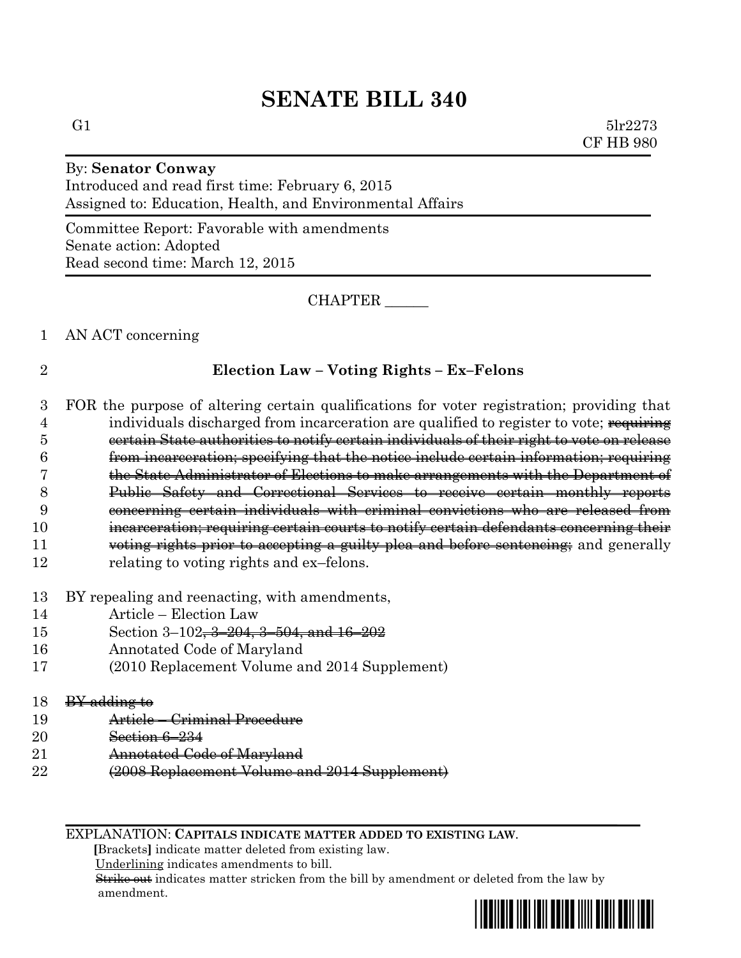# **SENATE BILL 340**

G1  $5\text{lr}2273$ CF HB 980

## By: **Senator Conway** Introduced and read first time: February 6, 2015 Assigned to: Education, Health, and Environmental Affairs

Committee Report: Favorable with amendments Senate action: Adopted Read second time: March 12, 2015

CHAPTER \_\_\_\_\_\_

#### 1 AN ACT concerning

# 2 **Election Law – Voting Rights – Ex–Felons**

- 3 FOR the purpose of altering certain qualifications for voter registration; providing that 4 individuals discharged from incarceration are qualified to register to vote; requiring 5 certain State authorities to notify certain individuals of their right to vote on release 6 from incarceration; specifying that the notice include certain information; requiring 7 the State Administrator of Elections to make arrangements with the Department of 8 Public Safety and Correctional Services to receive certain monthly reports 9 concerning certain individuals with criminal convictions who are released from 10 **incarceration**; requiring certain courts to notify certain defendants concerning their 11 voting rights prior to accepting a guilty plea and before sentencing; and generally 12 relating to voting rights and ex–felons.
- 13 BY repealing and reenacting, with amendments,
- 14 Article Election Law
- 15 Section 3–102, 3–204, 3–504, and 16–202
- 16 Annotated Code of Maryland
- 17 (2010 Replacement Volume and 2014 Supplement)

#### $18$  BY adding to

- 19 Article Criminal Procedure
- 20 Section 6–234
- 21 **Annotated Code of Maryland**
- 22 (2008 Replacement Volume and 2014 Supplement)

EXPLANATION: **CAPITALS INDICATE MATTER ADDED TO EXISTING LAW**.

 **[**Brackets**]** indicate matter deleted from existing law.

Underlining indicates amendments to bill.

 Strike out indicates matter stricken from the bill by amendment or deleted from the law by amendment.

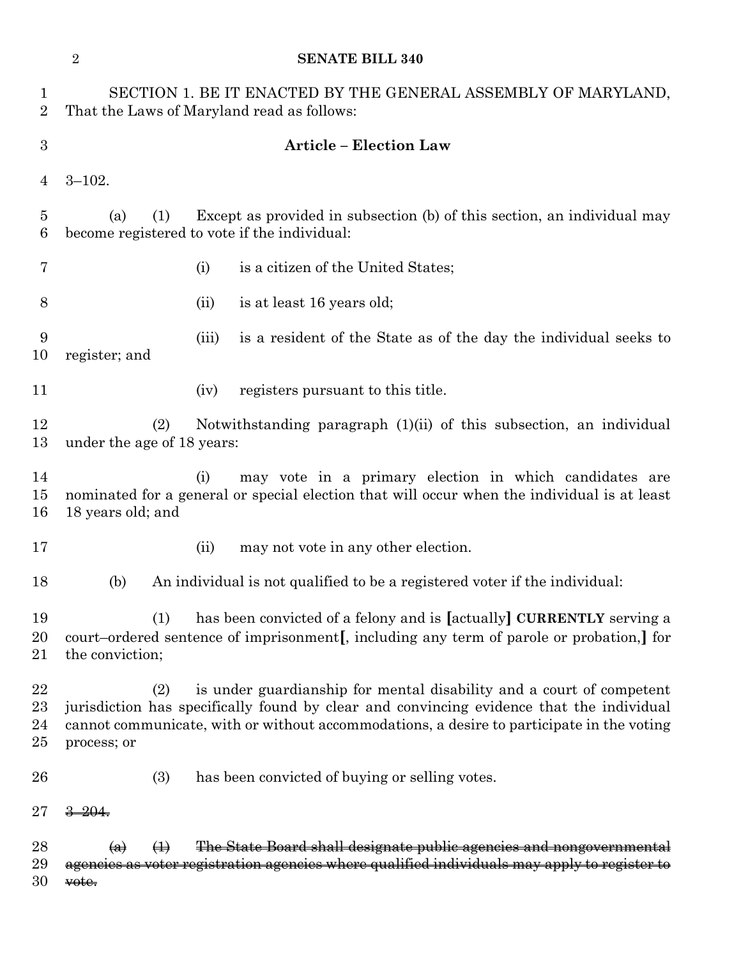|                                 | $\sqrt{2}$        | <b>SENATE BILL 340</b>                                                                                                                                                                                                                                               |
|---------------------------------|-------------------|----------------------------------------------------------------------------------------------------------------------------------------------------------------------------------------------------------------------------------------------------------------------|
| $\mathbf 1$<br>$\boldsymbol{2}$ |                   | SECTION 1. BE IT ENACTED BY THE GENERAL ASSEMBLY OF MARYLAND,<br>That the Laws of Maryland read as follows:                                                                                                                                                          |
| $\boldsymbol{3}$                |                   | <b>Article - Election Law</b>                                                                                                                                                                                                                                        |
| 4                               | $3 - 102.$        |                                                                                                                                                                                                                                                                      |
| $\overline{5}$<br>6             | (a)               | Except as provided in subsection (b) of this section, an individual may<br>(1)<br>become registered to vote if the individual:                                                                                                                                       |
| 7                               |                   | is a citizen of the United States;<br>(i)                                                                                                                                                                                                                            |
| 8                               |                   | is at least 16 years old;<br>(ii)                                                                                                                                                                                                                                    |
| 9<br>10                         | register; and     | is a resident of the State as of the day the individual seeks to<br>(iii)                                                                                                                                                                                            |
| 11                              |                   | registers pursuant to this title.<br>(iv)                                                                                                                                                                                                                            |
| 12<br>13                        |                   | Notwithstanding paragraph (1)(ii) of this subsection, an individual<br>(2)<br>under the age of 18 years:                                                                                                                                                             |
| 14<br>15<br>16                  | 18 years old; and | may vote in a primary election in which candidates are<br>(i)<br>nominated for a general or special election that will occur when the individual is at least                                                                                                         |
| 17                              |                   | (ii)<br>may not vote in any other election.                                                                                                                                                                                                                          |
| 18                              | (b)               | An individual is not qualified to be a registered voter if the individual:                                                                                                                                                                                           |
| 19<br>20<br>21                  | the conviction;   | (1)<br>has been convicted of a felony and is [actually] <b>CURRENTLY</b> serving a<br>court–ordered sentence of imprisonment, including any term of parole or probation, for                                                                                         |
| 22<br>23<br>24<br>25            | process; or       | is under guardianship for mental disability and a court of competent<br>(2)<br>jurisdiction has specifically found by clear and convincing evidence that the individual<br>cannot communicate, with or without accommodations, a desire to participate in the voting |
| 26                              |                   | (3)<br>has been convicted of buying or selling votes.                                                                                                                                                                                                                |
| 27                              | -204              |                                                                                                                                                                                                                                                                      |
| 28<br>29                        | $\left( a\right)$ | The State Board shall designate public agencies and nongovernmental<br>$\leftrightarrow$<br>agencies as voter registration agencies where qualified individuals may apply to register to                                                                             |
| 30                              | vote.             |                                                                                                                                                                                                                                                                      |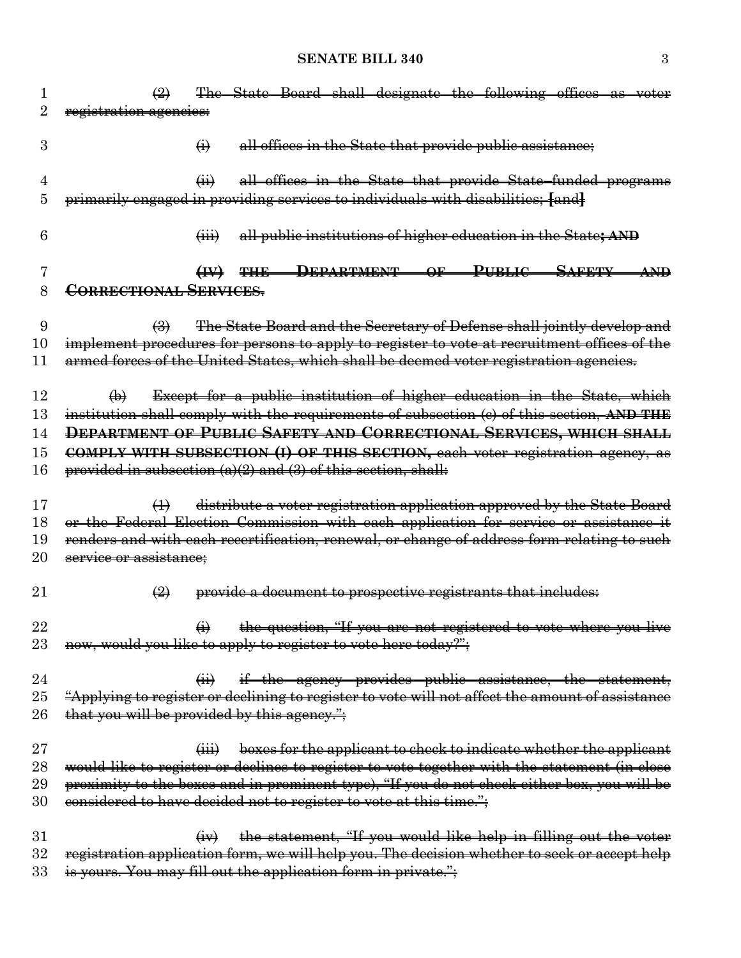| 1  | The State Board shall designate the following offices as voter<br>$\bigoplus$                    |
|----|--------------------------------------------------------------------------------------------------|
| 2  | registration agencies:                                                                           |
|    |                                                                                                  |
| 3  | all offices in the State that provide public assistance;<br>$\ddot{\Theta}$                      |
|    |                                                                                                  |
| 4  | all offices in the State that provide State-funded programs<br>$\overline{a}$                    |
| 5  | primarily engaged in providing services to individuals with disabilities; [and]                  |
|    |                                                                                                  |
| 6  | all public institutions of higher education in the State; AND<br>$\overline{(\mathbf{iii})}$     |
|    |                                                                                                  |
| 7  | DEPARTMENT OF PUBLIC SAFETY AND<br>H<br><b>THE</b>                                               |
| 8  | <b>CORRECTIONAL SERVICES.</b>                                                                    |
|    |                                                                                                  |
| 9  | The State Board and the Secretary of Defense shall jointly develop and<br>$\bigoplus$            |
| 10 | implement procedures for persons to apply to register to vote at recruitment offices of the      |
| 11 | armed forces of the United States, which shall be deemed voter registration agencies.            |
|    |                                                                                                  |
| 12 | Except for a public institution of higher education in the State, which<br>$\bigoplus$           |
| 13 | institution shall comply with the requirements of subsection (c) of this section, AND THE        |
|    |                                                                                                  |
| 14 | DEPARTMENT OF PUBLIC SAFETY AND CORRECTIONAL SERVICES, WHICH SHALL                               |
| 15 | COMPLY WITH SUBSECTION (I) OF THIS SECTION, each voter registration agency, as                   |
| 16 | provided in subsection $(a)(2)$ and $(3)$ of this section, shall:                                |
|    |                                                                                                  |
| 17 | distribute a voter registration application approved by the State Board<br>$\leftrightarrow$     |
| 18 | or the Federal Election Commission with each application for service or assistance it            |
| 19 | renders and with each recertification, renewal, or change of address form relating to such       |
| 20 | service or assistance;                                                                           |
|    |                                                                                                  |
| 21 | provide a document to prospective registrants that includes:<br>$\bigcirc$                       |
|    |                                                                                                  |
| 22 | $\leftrightarrow$ the question, "If you are not registered to vote where you live                |
| 23 | now, would you like to apply to register to vote here today?";                                   |
|    |                                                                                                  |
| 24 | if the agency provides public assistance, the statement,<br>$\overline{(+)}$                     |
| 25 | "Applying to register or declining to register to vote will not affect the amount of assistance  |
| 26 | that you will be provided by this agency.";                                                      |
|    |                                                                                                  |
| 27 | boxes for the applicant to check to indicate whether the applicant<br>$\overleftrightarrow{iii}$ |
| 28 | would like to register or declines to register to vote together with the statement (in close     |
| 29 | proximity to the boxes and in prominent type), "If you do not check either box, you will be      |
| 30 | considered to have decided not to register to vote at this time.";                               |
|    |                                                                                                  |
| 31 | the statement, "If you would like help in filling out the voter<br>$(\pm \nabla)$                |
| 32 | registration application form, we will help you. The decision whether to seek or accept help     |
| 33 | is yours. You may fill out the application form in private.";                                    |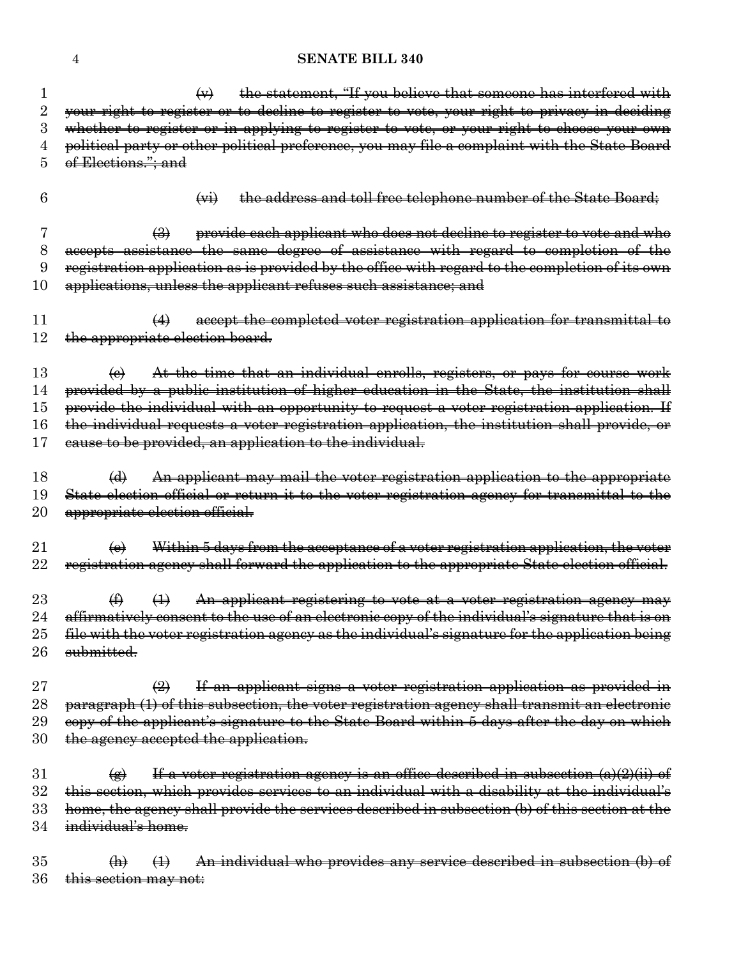### 4 **SENATE BILL 340**

|          | the statement, "If you believe that someone has interfered with<br>$\leftrightarrow$                                                                                                                                                                                                                                                                                                                                                                    |
|----------|---------------------------------------------------------------------------------------------------------------------------------------------------------------------------------------------------------------------------------------------------------------------------------------------------------------------------------------------------------------------------------------------------------------------------------------------------------|
| $\rm{2}$ | your right to register or to decline to register to vote, your right to privacy in deciding                                                                                                                                                                                                                                                                                                                                                             |
| 3        | whether to register or in applying to register to vote, or your right to choose your own                                                                                                                                                                                                                                                                                                                                                                |
| 4        | political party or other political preference, you may file a complaint with the State Board                                                                                                                                                                                                                                                                                                                                                            |
| 5        | of Elections."; and                                                                                                                                                                                                                                                                                                                                                                                                                                     |
|          |                                                                                                                                                                                                                                                                                                                                                                                                                                                         |
| 6        | the address and toll free telephone number of the State Board;<br>$\left(\frac{1}{2}x + \frac{1}{2}x + \frac{1}{2}x + \frac{1}{2}x + \frac{1}{2}x + \frac{1}{2}x + \frac{1}{2}x + \frac{1}{2}x + \frac{1}{2}x + \frac{1}{2}x + \frac{1}{2}x + \frac{1}{2}x + \frac{1}{2}x + \frac{1}{2}x + \frac{1}{2}x + \frac{1}{2}x + \frac{1}{2}x + \frac{1}{2}x + \frac{1}{2}x + \frac{1}{2}x + \frac{1}{2}x + \frac{1}{2}x + \frac{1}{2}x + \frac{1}{2}x + \frac$ |
| 7        | provide each applicant who does not decline to register to vote and who<br>$\bigoplus$                                                                                                                                                                                                                                                                                                                                                                  |
| 8        | accepts assistance the same degree of assistance with regard to completion of the                                                                                                                                                                                                                                                                                                                                                                       |
| 9        | registration application as is provided by the office with regard to the completion of its own                                                                                                                                                                                                                                                                                                                                                          |
| 10       | applications, unless the applicant refuses such assistance; and                                                                                                                                                                                                                                                                                                                                                                                         |
| 11       | accept the completed voter registration application for transmittal to                                                                                                                                                                                                                                                                                                                                                                                  |
| 12       | the appropriate election board.                                                                                                                                                                                                                                                                                                                                                                                                                         |
|          |                                                                                                                                                                                                                                                                                                                                                                                                                                                         |
| 13       | At the time that an individual enrolls, registers, or pays for course work<br>$\Theta$                                                                                                                                                                                                                                                                                                                                                                  |
| 14       | provided by a public institution of higher education in the State, the institution shall                                                                                                                                                                                                                                                                                                                                                                |
| 15       | provide the individual with an opportunity to request a voter registration application. If                                                                                                                                                                                                                                                                                                                                                              |
| 16       | the individual requests a voter registration application, the institution shall provide, or                                                                                                                                                                                                                                                                                                                                                             |
| 17       | eause to be provided, an application to the individual.                                                                                                                                                                                                                                                                                                                                                                                                 |
| 18       | An applicant may mail the voter registration application to the appropriate<br>$\bigoplus$                                                                                                                                                                                                                                                                                                                                                              |
| 19       | State election official or return it to the voter registration agency for transmittal to the                                                                                                                                                                                                                                                                                                                                                            |
| $20\,$   | appropriate election official.                                                                                                                                                                                                                                                                                                                                                                                                                          |
| $21\,$   | Within 5 days from the acceptance of a voter registration application, the voter<br>$\left(\mathbf{e}\right)$                                                                                                                                                                                                                                                                                                                                           |
| 22       | registration agency shall forward the application to the appropriate State election official.                                                                                                                                                                                                                                                                                                                                                           |
|          |                                                                                                                                                                                                                                                                                                                                                                                                                                                         |
| 23       | $\bigoplus$<br>$\leftrightarrow$<br>An applicant registering to vote at a voter registration agency may                                                                                                                                                                                                                                                                                                                                                 |
| 24       | affirmatively consent to the use of an electronic copy of the individual's signature that is on                                                                                                                                                                                                                                                                                                                                                         |
| $25\,$   | file with the voter registration agency as the individual's signature for the application being                                                                                                                                                                                                                                                                                                                                                         |
| $26\,$   | submitted.                                                                                                                                                                                                                                                                                                                                                                                                                                              |
| $27\,$   | If an applicant signs a voter registration application as provided in<br>$\left(\frac{9}{2}\right)$                                                                                                                                                                                                                                                                                                                                                     |
| $^{28}$  | paragraph (1) of this subsection, the voter registration agency shall transmit an electronic                                                                                                                                                                                                                                                                                                                                                            |
| 29       | copy of the applicant's signature to the State Board within 5 days after the day on which                                                                                                                                                                                                                                                                                                                                                               |
| $30\,$   | the agency accepted the application.                                                                                                                                                                                                                                                                                                                                                                                                                    |
|          |                                                                                                                                                                                                                                                                                                                                                                                                                                                         |
| $31\,$   | If a voter registration agency is an office described in subsection $(a)(2)(ii)$ of<br>$\circledast$                                                                                                                                                                                                                                                                                                                                                    |
| $32\,$   | this section, which provides services to an individual with a disability at the individual's                                                                                                                                                                                                                                                                                                                                                            |
| 33       | home, the agency shall provide the services described in subsection (b) of this section at the                                                                                                                                                                                                                                                                                                                                                          |
| 34       | individual's home.                                                                                                                                                                                                                                                                                                                                                                                                                                      |
| 35       | An individual who provides any service described in subsection (b) of<br>$\bigoplus$<br>$\left( \mathbf{h} \right)$                                                                                                                                                                                                                                                                                                                                     |
| 36       | this section may not:                                                                                                                                                                                                                                                                                                                                                                                                                                   |
|          |                                                                                                                                                                                                                                                                                                                                                                                                                                                         |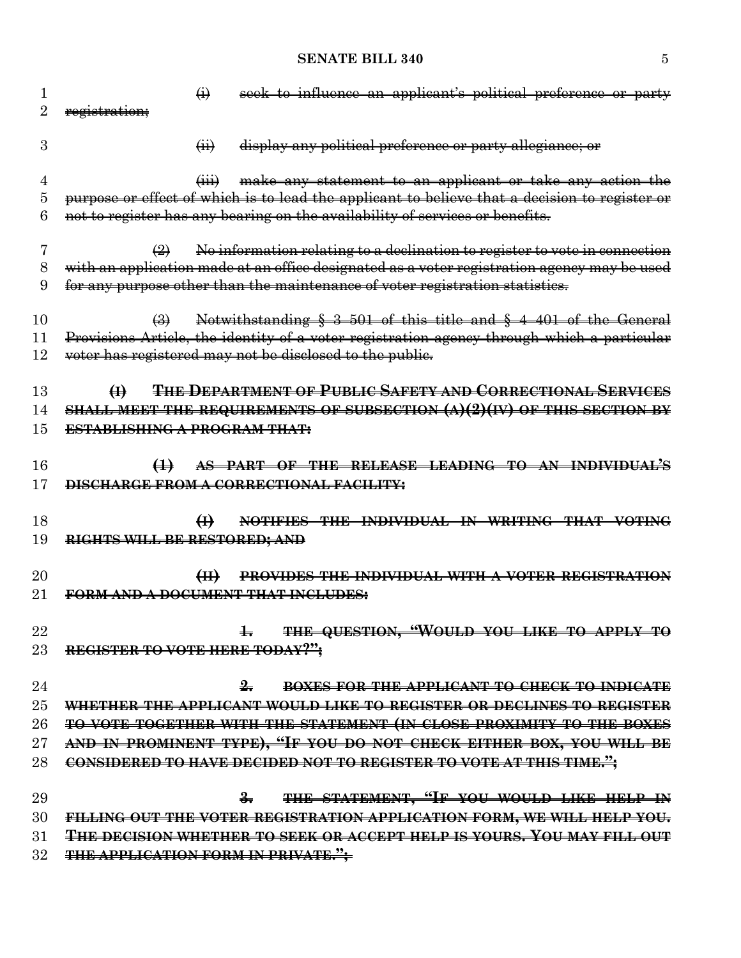| 1      | seek to influence an applicant's political preference or party<br>$\ddot{\Theta}$                                  |
|--------|--------------------------------------------------------------------------------------------------------------------|
| 2      | registration;                                                                                                      |
| 3      | display any political preference or party allegiance; or<br>$\overline{(\mathbf{ii})}$                             |
| 4      | make any statement to an applicant or take any action the<br>$\overrightarrow{H}$                                  |
| 5      | purpose or effect of which is to lead the applicant to believe that a decision to register or                      |
| 6      | not to register has any bearing on the availability of services or benefits.                                       |
| 7      | No information relating to a declination to register to vote in connection<br>$\left(\frac{\Omega}{\Omega}\right)$ |
| 8      | with an application made at an office designated as a voter registration agency may be used                        |
| 9      | for any purpose other than the maintenance of voter registration statistics.                                       |
| 10     | Notwithstanding § 3-501 of this title and § 4-401 of the General<br>$\leftrightarrow$                              |
| 11     | Provisions Article, the identity of a voter registration agency through which a particular                         |
| 12     | voter has registered may not be disclosed to the public.                                                           |
| 13     | THE DEPARTMENT OF PUBLIC SAFETY AND CORRECTIONAL SERVICES<br>$\bigoplus$                                           |
| 14     | SHALL MEET THE REQUIREMENTS OF SUBSECTION $(A)(2)(IV)$ OF THIS SECTION BY                                          |
| 15     | <b>ESTABLISHING A PROGRAM THAT:</b>                                                                                |
|        |                                                                                                                    |
| 16     | AS PART OF THE RELEASE LEADING TO AN INDIVIDUAL'S<br>$\leftrightarrow$                                             |
| 17     | <b>DISCHARGE FROM A CORRECTIONAL FACILITY:</b>                                                                     |
| 18     | $\bigoplus$<br>NOTIFIES THE INDIVIDUAL IN WRITING THAT VOTING                                                      |
| 19     | RIGHTS WILL BE RESTORED; AND                                                                                       |
|        |                                                                                                                    |
| $20\,$ | PROVIDES THE INDIVIDUAL WITH A VOTER REGISTRATION                                                                  |
| $21\,$ | FORM AND A DOCUMENT THAT INCLUDES:                                                                                 |
| 22     | 4. THE QUESTION, "WOULD YOU LIKE TO APPLY TO                                                                       |
| 23     | REGISTER TO VOTE HERE TODAY?";                                                                                     |
|        |                                                                                                                    |
| 24     | $\frac{9}{2}$<br>BOXES FOR THE APPLICANT TO CHECK TO INDICATE                                                      |
| $25\,$ | WHETHER THE APPLICANT WOULD LIKE TO REGISTER OR DECLINES TO REGISTER                                               |
| 26     | TO VOTE TOGETHER WITH THE STATEMENT (IN CLOSE PROXIMITY TO THE BOXES                                               |
| $27\,$ | AND IN PROMINENT TYPE), "IF YOU DO NOT CHECK EITHER BOX, YOU WILL BE                                               |
| 28     | CONSIDERED TO HAVE DECIDED NOT TO REGISTER TO VOTE AT THIS TIME.";                                                 |
| 29     | THE STATEMENT, "IF YOU WOULD LIKE HELP IN<br>$\frac{2}{10}$                                                        |
| 30     | FILLING OUT THE VOTER REGISTRATION APPLICATION FORM, WE WILL HELP YOU.                                             |
| 31     | THE DECISION WHETHER TO SEEK OR ACCEPT HELP IS YOURS. YOU MAY FILL OUT                                             |
| $32\,$ | <b>THE APPLICATION FORM IN PRIVATE."</b>                                                                           |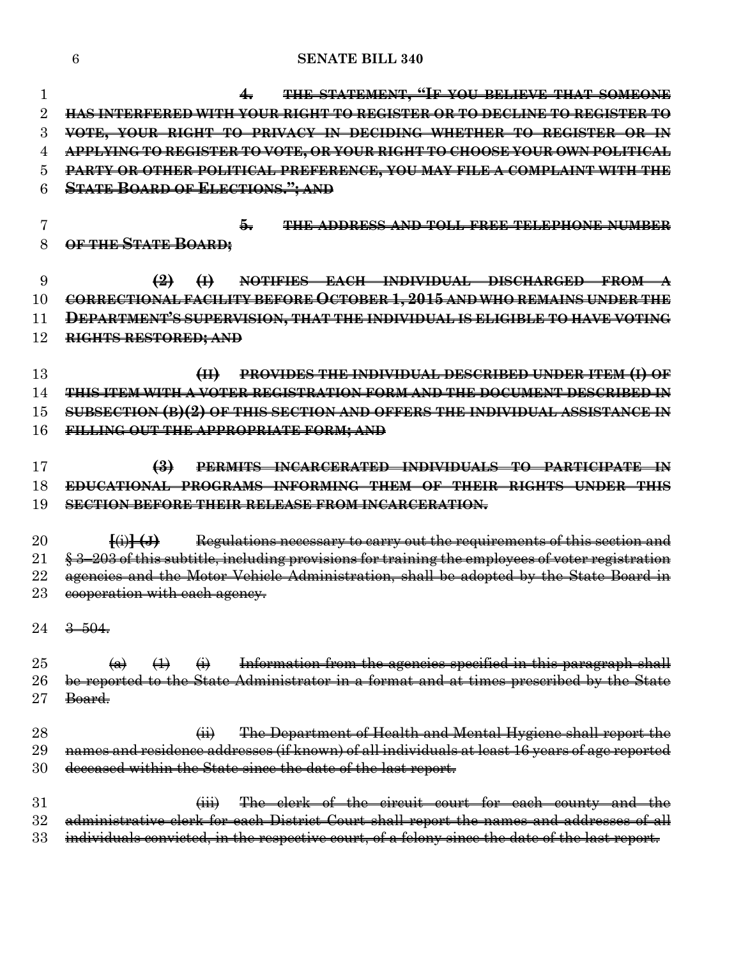#### **SENATE BILL 340**

 **4. THE STATEMENT, "IF YOU BELIEVE THAT SOMEONE HAS INTERFERED WITH YOUR RIGHT TO REGISTER OR TO DECLINE TO REGISTER TO VOTE, YOUR RIGHT TO PRIVACY IN DECIDING WHETHER TO REGISTER OR IN APPLYING TO REGISTER TO VOTE, OR YOUR RIGHT TO CHOOSE YOUR OWN POLITICAL PARTY OR OTHER POLITICAL PREFERENCE, YOU MAY FILE A COMPLAINT WITH THE STATE BOARD OF ELECTIONS."; AND 5. THE ADDRESS AND TOLL FREE TELEPHONE NUMBER OF THE STATE BOARD; (2) (I) NOTIFIES EACH INDIVIDUAL DISCHARGED FROM A CORRECTIONAL FACILITY BEFORE OCTOBER 1, 2015 AND WHO REMAINS UNDER THE DEPARTMENT'S SUPERVISION, THAT THE INDIVIDUAL IS ELIGIBLE TO HAVE VOTING RIGHTS RESTORED; AND (II) PROVIDES THE INDIVIDUAL DESCRIBED UNDER ITEM (I) OF THIS ITEM WITH A VOTER REGISTRATION FORM AND THE DOCUMENT DESCRIBED IN SUBSECTION (B)(2) OF THIS SECTION AND OFFERS THE INDIVIDUAL ASSISTANCE IN FILLING OUT THE APPROPRIATE FORM; AND (3) PERMITS INCARCERATED INDIVIDUALS TO PARTICIPATE IN EDUCATIONAL PROGRAMS INFORMING THEM OF THEIR RIGHTS UNDER THIS SECTION BEFORE THEIR RELEASE FROM INCARCERATION. [**(i)**] (J)** Regulations necessary to carry out the requirements of this section and  $\frac{123}{203}$  of this subtitle, including provisions for training the employees of voter registration 22 agencies and the Motor Vehicle Administration, shall be adopted by the State Board in 23 eooperation with each agency.  $24 \frac{3 - 504}{50}$  $\left(\alpha\right)$   $\left(\frac{1}{1}\right)$   $\left(\frac{1}{1}\right)$  Information from the agencies specified in this paragraph shall be reported to the State Administrator in a format and at times prescribed by the State Board. **(ii)** The Department of Health and Mental Hygiene shall report the names and residence addresses (if known) of all individuals at least 16 years of age reported deceased within the State since the date of the last report. 31 (iii) The clerk of the circuit court for each county and the administrative clerk for each District Court shall report the names and addresses of all 33 individuals convicted, in the respective court, of a felony since the date of the last report.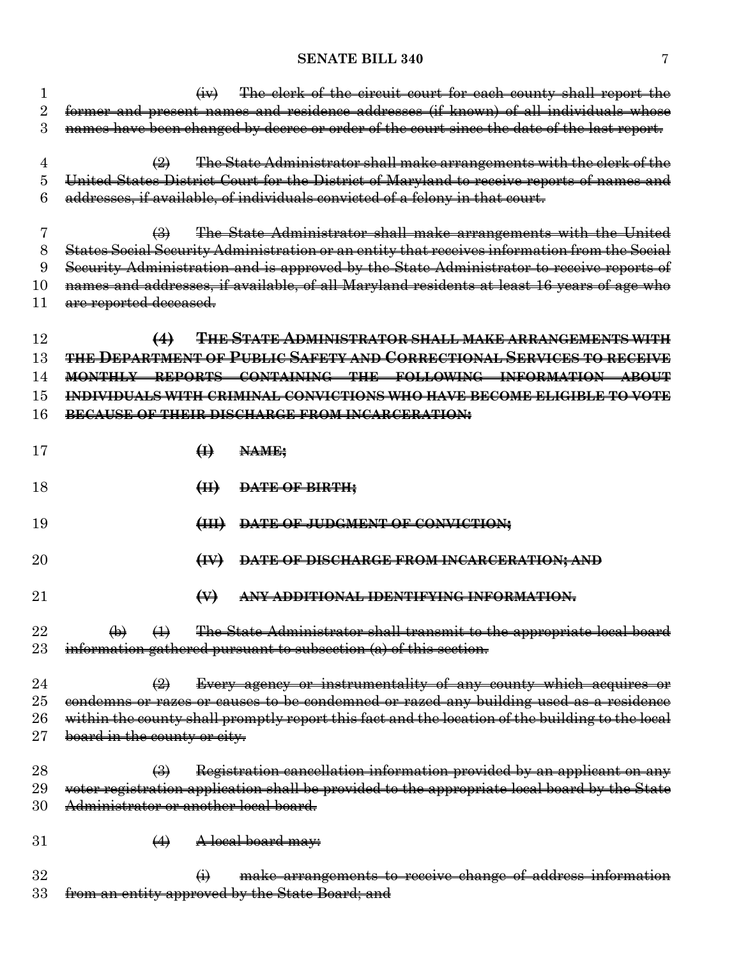| 1              |                                                  | $\left(\frac{1}{2}V\right)$ | The clerk of the circuit court for each county shall report the                                 |
|----------------|--------------------------------------------------|-----------------------------|-------------------------------------------------------------------------------------------------|
| $\overline{2}$ |                                                  |                             | former and present names and residence addresses (if known) of all individuals whose            |
| 3              |                                                  |                             | names have been changed by decree or order of the court since the date of the last report.      |
|                |                                                  |                             |                                                                                                 |
| 4              | $\left( 2\right)$                                |                             | The State Administrator shall make arrangements with the clerk of the                           |
| 5              |                                                  |                             | United States District Court for the District of Maryland to receive reports of names and       |
| 6              |                                                  |                             | addresses, if available, of individuals convicted of a felony in that court.                    |
| 7              | $\bigoplus$                                      |                             | The State Administrator shall make arrangements with the United                                 |
| 8              |                                                  |                             | States Social Security Administration or an entity that receives information from the Social    |
| 9              |                                                  |                             | Security Administration and is approved by the State Administrator to receive reports of        |
| 10             |                                                  |                             | names and addresses, if available, of all Maryland residents at least 16 years of age who       |
| 11             | are reported deceased.                           |                             |                                                                                                 |
|                |                                                  |                             |                                                                                                 |
| 12             | $\leftrightarrow$                                |                             | THE STATE ADMINISTRATOR SHALL MAKE ARRANGEMENTS WITH                                            |
| 13             |                                                  |                             | <del>the Department of Public Safety and Correctional Services to receive</del>                 |
| 14             |                                                  |                             | MONTHLY REPORTS CONTAINING THE FOLLOWING INFORMATION ABOUT                                      |
| 15             |                                                  |                             | INDIVIDUALS WITH CRIMINAL CONVICTIONS WHO HAVE BECOME ELIGIBLE TO VOTE                          |
| 16             |                                                  |                             | BECAUSE OF THEIR DISCHARGE FROM INCARCERATION:                                                  |
|                |                                                  |                             |                                                                                                 |
| 17             |                                                  | $\bigoplus$                 | NAME;                                                                                           |
|                |                                                  |                             |                                                                                                 |
| 18             |                                                  | H                           | DATE OF BIRTH;                                                                                  |
|                |                                                  |                             |                                                                                                 |
| 19             |                                                  | $\left(\frac{1}{2} \right)$ | DATE OF JUDGMENT OF CONVICTION;                                                                 |
| 20             |                                                  |                             |                                                                                                 |
|                |                                                  | $\leftrightarrow$           | DATE OF DISCHARGE FROM INCARCERATION; AND                                                       |
| 21             |                                                  | $\leftrightarrow$           | ANY ADDITIONAL IDENTIFYING INFORMATION.                                                         |
| 22             | $\leftrightarrow$                                |                             | The State Administrator shall transmit to the appropriate local board                           |
| 23             | $\Theta$                                         |                             | information gathered pursuant to subsection (a) of this section.                                |
|                |                                                  |                             |                                                                                                 |
| 24             | $\left(\frac{9}{2}\right)$                       |                             | Every agency or instrumentality of any county which acquires or                                 |
| $25\,$         |                                                  |                             | condemns or razes or causes to be condemned or razed any building used as a residence           |
| $26\,$         |                                                  |                             | within the county shall promptly report this fact and the location of the building to the local |
| $27\,$         | board in the county or city.                     |                             |                                                                                                 |
|                |                                                  |                             |                                                                                                 |
| 28             | $\leftrightarrow$                                |                             | Registration cancellation information provided by an applicant on any                           |
| 29             |                                                  |                             | voter registration application shall be provided to the appropriate local board by the State    |
| 30             | <del>Administrator or another local board.</del> |                             |                                                                                                 |
|                |                                                  |                             |                                                                                                 |
| 31             | $\leftrightarrow$                                |                             | A local board may:                                                                              |
| 32             |                                                  | $\ddot{\theta}$             | make arrangements to receive change of address information                                      |
| 33             |                                                  |                             | from an entity approved by the State Board; and                                                 |
|                |                                                  |                             |                                                                                                 |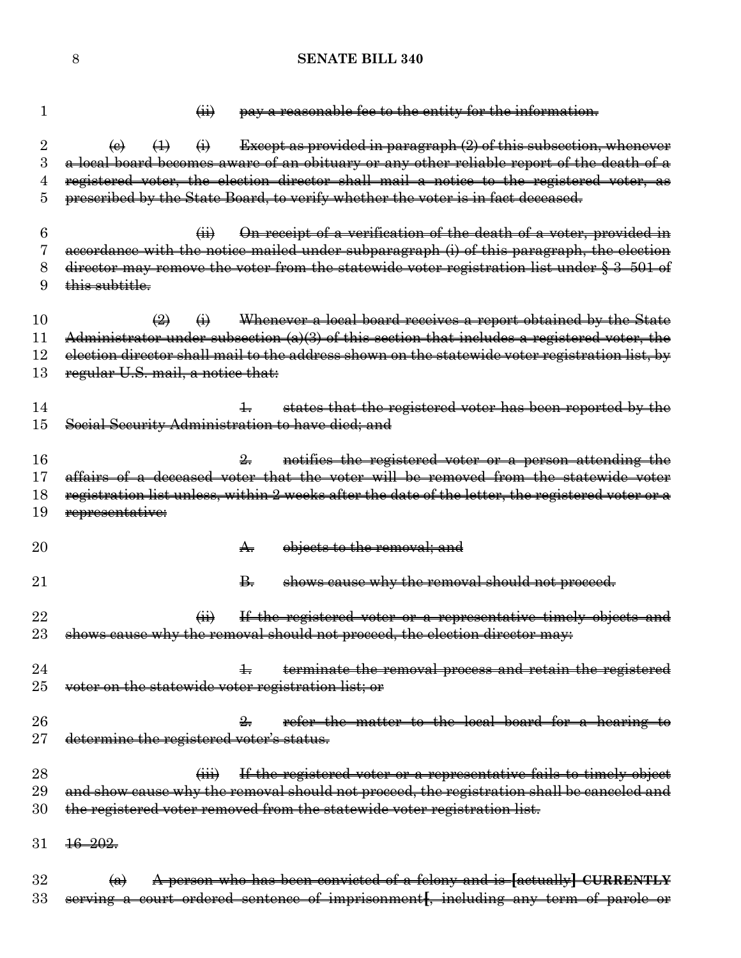1  $\overrightarrow{ii}$  pay a reasonable fee to the entity for the information. 2 (e)  $\leftarrow$  (1)  $\leftarrow$  Except as provided in paragraph (2) of this subsection, whenever 3 a local board becomes aware of an obituary or any other reliable report of the death of a 4 registered voter, the election director shall mail a notice to the registered voter, as 5 prescribed by the State Board, to verify whether the voter is in fact deceased. 6 (ii) On receipt of a verification of the death of a voter, provided in 7 accordance with the notice mailed under subparagraph (i) of this paragraph, the election 8 director may remove the voter from the statewide voter registration list under § 3–501 of 9 this subtitle. 10  $\left(\frac{1}{2}\right)$  (i) Whenever a local board receives a report obtained by the State 11 Administrator under subsection (a)(3) of this section that includes a registered voter, the 12 election director shall mail to the address shown on the statewide voter registration list, by 13 regular U.S. mail, a notice that: 14 14 1. states that the registered voter has been reported by the 15 Social Security Administration to have died; and 16 2. notifies the registered voter or a person attending the 17 affairs of a deceased voter that the voter will be removed from the statewide voter 18 registration list unless, within 2 weeks after the date of the letter, the registered voter or a 19 representative: 20 **A.** objects to the removal: and 21 **B.** shows cause why the removal should not proceed. 22 (ii) If the registered voter or a representative timely objects and 23 shows cause why the removal should not proceed, the election director may: 24 1. terminate the removal process and retain the registered 25 voter on the statewide voter registration list; or 26 26 2.  $\frac{2}{5}$  refer the matter to the local board for a hearing to 27 determine the registered voter's status. 28 (iii) If the registered voter or a representative fails to timely object 29 and show cause why the removal should not proceed, the registration shall be canceled and 30 the registered voter removed from the statewide voter registration list. 31 16–202. 32 (a) A person who has been convicted of a felony and is **[**actually**] CURRENTLY** 33 serving a court–ordered sentence of imprisonment**[**, including any term of parole or

8 **SENATE BILL 340**